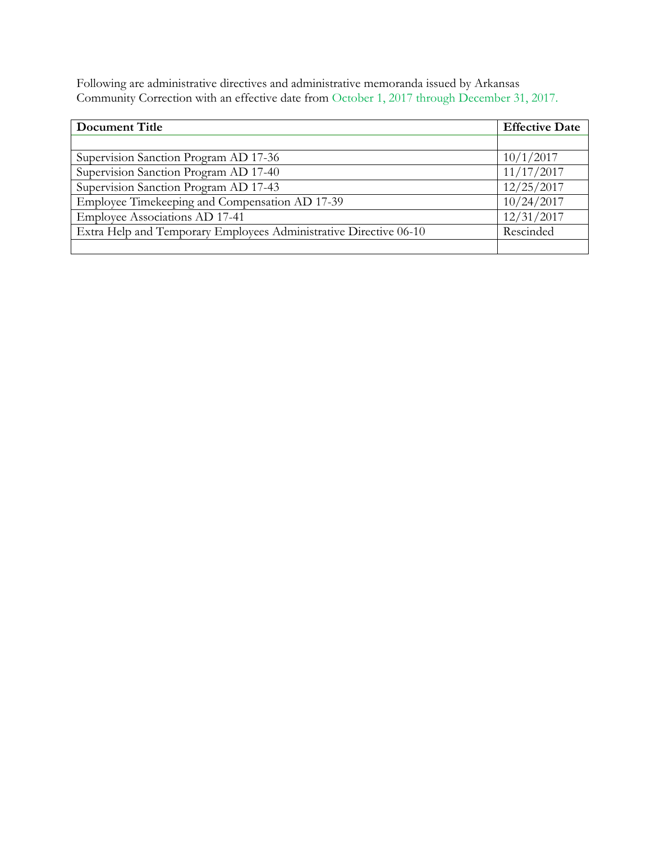Following are administrative directives and administrative memoranda issued by Arkansas Community Correction with an effective date from October 1, 2017 through December 31, 2017.

| <b>Document Title</b>                                             | <b>Effective Date</b> |
|-------------------------------------------------------------------|-----------------------|
|                                                                   |                       |
| Supervision Sanction Program AD 17-36                             | 10/1/2017             |
| Supervision Sanction Program AD 17-40                             | 11/17/2017            |
| Supervision Sanction Program AD 17-43                             | 12/25/2017            |
| Employee Timekeeping and Compensation AD 17-39                    | 10/24/2017            |
| <b>Employee Associations AD 17-41</b>                             | 12/31/2017            |
| Extra Help and Temporary Employees Administrative Directive 06-10 | Rescinded             |
|                                                                   |                       |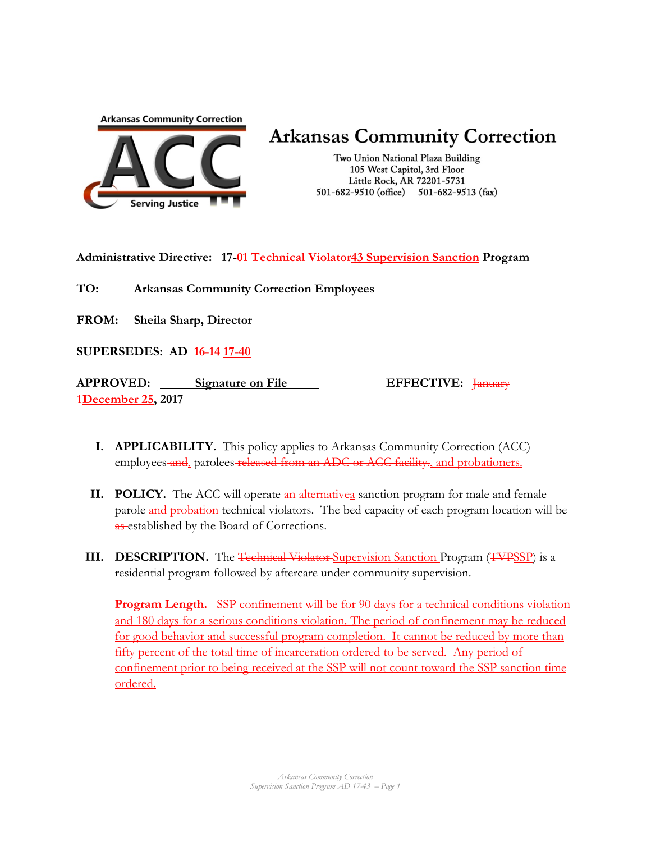**Arkansas Community Correction** 



# **Arkansas Community Correction**

Two Union National Plaza Building 105 West Capitol, 3rd Floor Little Rock, AR 72201-5731 501-682-9510 (office) 501-682-9513 (fax)

**Administrative Directive: 17-01 Technical Violator43 Supervision Sanction Program**

**TO: Arkansas Community Correction Employees**

**FROM: Sheila Sharp, Director**

**SUPERSEDES: AD 16-14 17-40**

**APPROVED:** Signature on File **EFFECTIVE:**  $\frac{1}{2}$ 1**December 25, 2017**

- **I. APPLICABILITY.** This policy applies to Arkansas Community Correction (ACC) employees and, parolees released from an ADC or ACC facility, and probationers.
- **II. POLICY.** The ACC will operate an alternativea sanction program for male and female parole and probation technical violators. The bed capacity of each program location will be as established by the Board of Corrections.
- **III. DESCRIPTION.** The Technical Violator Supervision Sanction Program (TVPSSP) is a residential program followed by aftercare under community supervision.

**Program Length.** SSP confinement will be for 90 days for a technical conditions violation and 180 days for a serious conditions violation. The period of confinement may be reduced for good behavior and successful program completion. It cannot be reduced by more than fifty percent of the total time of incarceration ordered to be served. Any period of confinement prior to being received at the SSP will not count toward the SSP sanction time ordered.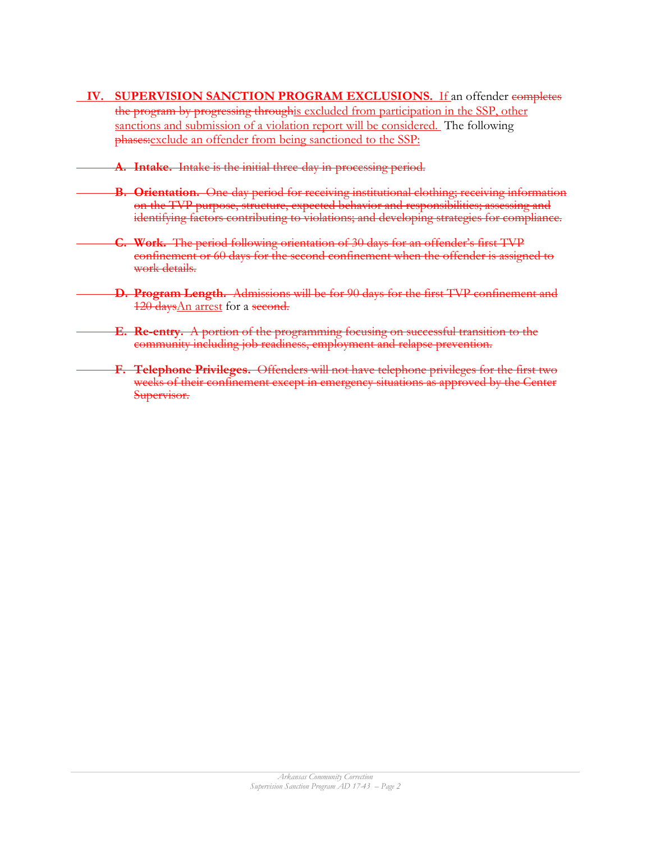- **IV. SUPERVISION SANCTION PROGRAM EXCLUSIONS.** If an offender completes the program by progressing throughis excluded from participation in the SSP, other sanctions and submission of a violation report will be considered. The following phases:exclude an offender from being sanctioned to the SSP:
	- **A. Intake.** Intake is the initial three-day in-processing period.
	- **B. Orientation.** One-day period for receiving institutional clothing; receiving information on the TVP purpose, structure, expected behavior and responsibilities; assessing and identifying factors contributing to violations; and developing strategies for compliance.
	- **C. Work.** The period following orientation of 30 days for an offender's first TVP confinement or 60 days for the second confinement when the offender is assigned to work details.
	- **D. Program Length.** Admissions will be for 90 days for the first TVP confinement and 120 days An arrest for a second.
	- **E. Re-entry.** A portion of the programming focusing on successful transition to the community including job readiness, employment and relapse prevention.
- **F. Telephone Privileges.** Offenders will not have telephone privileges for the first two weeks of their confinement except in emergency situations as approved by the Center Supervisor.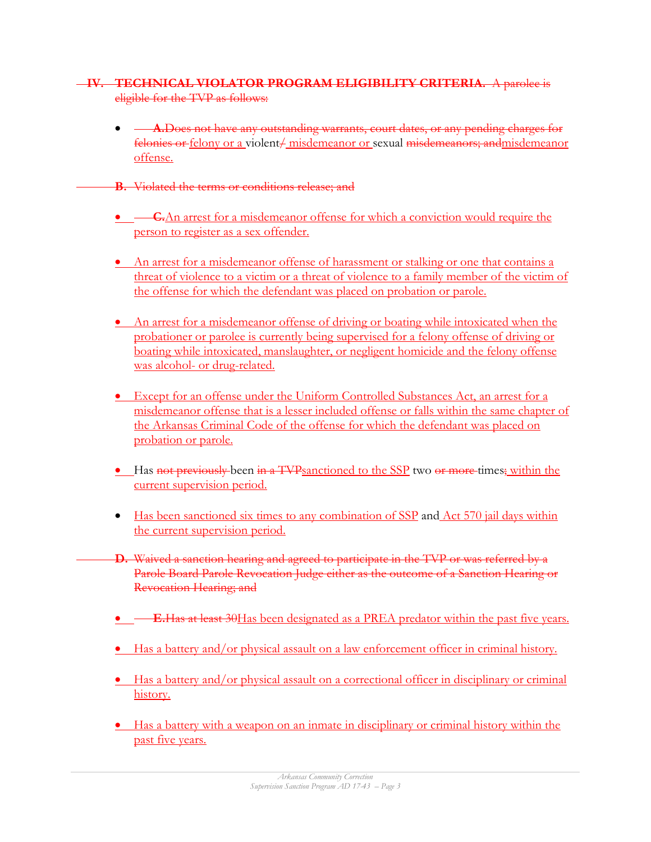#### **IV. TECHNICAL VIOLATOR PROGRAM ELIGIBILITY CRITERIA.** A parolee is eligible for the TVP as follows:

- **A.**Does not have any outstanding warrants, court dates, or any pending charges for felonies or felony or a violent misdemeanor or sexual misdemeanors; and misdemeanor offense.
- **B.** Violated the terms or conditions release; and
- **C.**An arrest for a misdemeanor offense for which a conviction would require the person to register as a sex offender.
- An arrest for a misdemeanor offense of harassment or stalking or one that contains a threat of violence to a victim or a threat of violence to a family member of the victim of the offense for which the defendant was placed on probation or parole.
- An arrest for a misdemeanor offense of driving or boating while intoxicated when the probationer or parolee is currently being supervised for a felony offense of driving or boating while intoxicated, manslaughter, or negligent homicide and the felony offense was alcohol- or drug-related.
- Except for an offense under the Uniform Controlled Substances Act, an arrest for a misdemeanor offense that is a lesser included offense or falls within the same chapter of the Arkansas Criminal Code of the offense for which the defendant was placed on probation or parole.
- Has not previously been in a TVP sanctioned to the SSP two or more times; within the current supervision period.
- Has been sanctioned six times to any combination of SSP and Act 570 jail days within the current supervision period.
- **D.** Waived a sanction hearing and agreed to participate in the TVP or was referred by a Parole Board Parole Revocation Judge either as the outcome of a Sanction Hearing or Revocation Hearing; and
- <del>E.Has at least 30Has</del> been designated as a PREA predator within the past five years.
- Has a battery and/or physical assault on a law enforcement officer in criminal history.
- Has a battery and/or physical assault on a correctional officer in disciplinary or criminal history.
- Has a battery with a weapon on an inmate in disciplinary or criminal history within the past five years.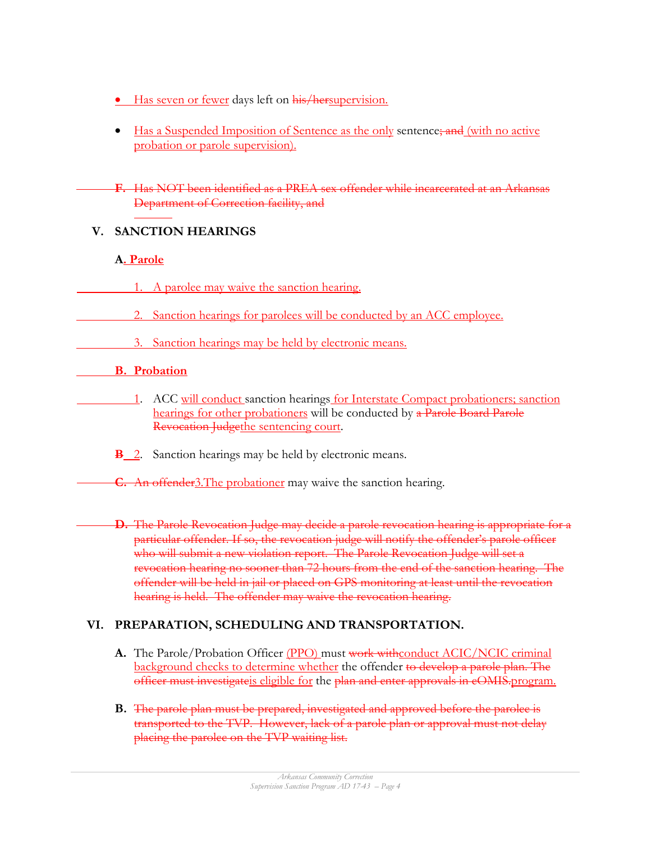- Has seven or fewer days left on his/hersupervision.
- Has a Suspended Imposition of Sentence as the only sentence; and (with no active probation or parole supervision).
- **F.** Has NOT been identified as a PREA sex offender while incarcerated at an Arkansas Department of Correction facility, and

# **V. SANCTION HEARINGS**

# **A. Parole**

- 1. A parolee may waive the sanction hearing.
- 2. Sanction hearings for parolees will be conducted by an ACC employee.
	- 3. Sanction hearings may be held by electronic means.

# **B. Probation**

- 1. ACC will conduct sanction hearings for Interstate Compact probationers; sanction hearings for other probationers will be conducted by a Parole Board Parole Revocation Judgethe sentencing court.
- **B** 2. Sanction hearings may be held by electronic means.
- **C.** An offender 3. The probationer may waive the sanction hearing.
	- **D.** The Parole Revocation Judge may decide a parole revocation hearing is appropriate for a particular offender. If so, the revocation judge will notify the offender's parole officer who will submit a new violation report. The Parole Revocation Judge will set a revocation hearing no sooner than 72 hours from the end of the sanction hearing. The offender will be held in jail or placed on GPS monitoring at least until the revocation hearing is held. The offender may waive the revocation hearing.

# **VI. PREPARATION, SCHEDULING AND TRANSPORTATION.**

- **A.** The Parole/Probation Officer (PPO) must work withconduct ACIC/NCIC criminal background checks to determine whether the offender to develop a parole plan. The officer must investigate is eligible for the plan and enter approvals in eOMIS.program.
- **B.** The parole plan must be prepared, investigated and approved before the parolee is transported to the TVP. However, lack of a parole plan or approval must not delay placing the parolee on the TVP waiting list.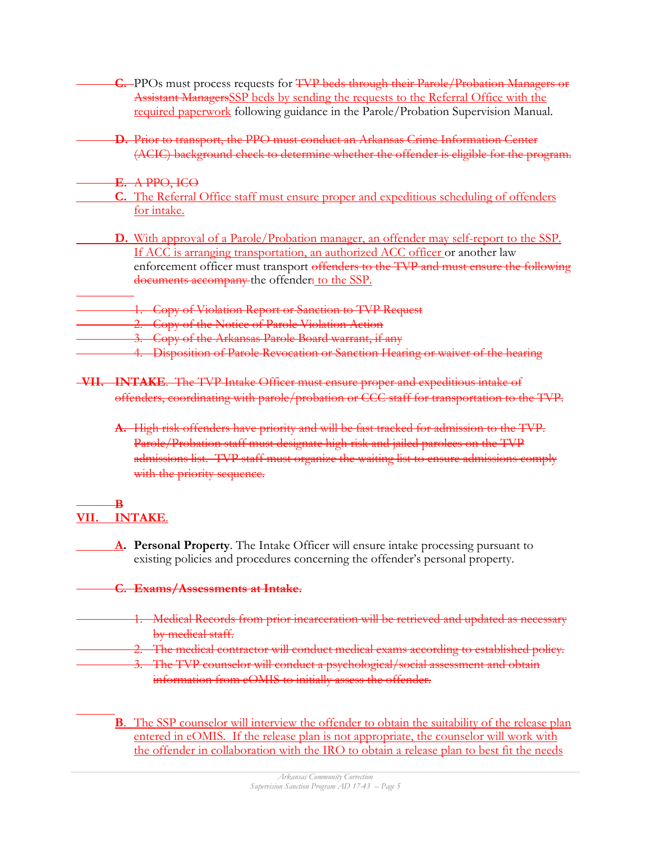- **C.** PPOs must process requests for TVP beds through their Parole/Probation Managers or Assistant ManagersSSP beds by sending the requests to the Referral Office with the required paperwork following guidance in the Parole/Probation Supervision Manual.
- **D.** Prior to transport, the PPO must conduct an Arkansas Crime Information Center (ACIC) background check to determine whether the offender is eligible for the program.
- **E.** A PPO, ICO
	- **C.** The Referral Office staff must ensure proper and expeditious scheduling of offenders for intake.
	- **D.** With approval of a Parole/Probation manager, an offender may self-report to the SSP. If ACC is arranging transportation, an authorized ACC officer or another law enforcement officer must transport offenders to the TVP and must ensure the following documents accompany the offender: to the SSP.
- 1. Copy of Violation Report or Sanction to TVP Request
	- 2. Copy of the Notice of Parole Violation Action
	- 3. Copy of the Arkansas Parole Board warrant, if any
		- 4. Disposition of Parole Revocation or Sanction Hearing or waiver of the hearing
- **VII. INTAKE**. The TVP Intake Officer must ensure proper and expeditious intake of offenders, coordinating with parole/probation or CCC staff for transportation to the TVP.
	- **A.** High risk offenders have priority and will be fast tracked for admission to the TVP. Parole/Probation staff must designate high risk and jailed parolees on the TVP admissions list. TVP staff must organize the waiting list to ensure admissions comply with the priority sequence.

#### **B VII. INTAKE**.

**A. Personal Property**. The Intake Officer will ensure intake processing pursuant to existing policies and procedures concerning the offender's personal property.

**C. Exams/Assessments at Intake.**

- 1. Medical Records from prior incarceration will be retrieved and updated as necessary by medical staff.
	- The medical contractor will conduct medical exams according to established policy.
		- 3. The TVP counselor will conduct a psychological/social assessment and obtain information from eOMIS to initially assess the offender.
	- **B**. The SSP counselor will interview the offender to obtain the suitability of the release plan entered in eOMIS. If the release plan is not appropriate, the counselor will work with the offender in collaboration with the IRO to obtain a release plan to best fit the needs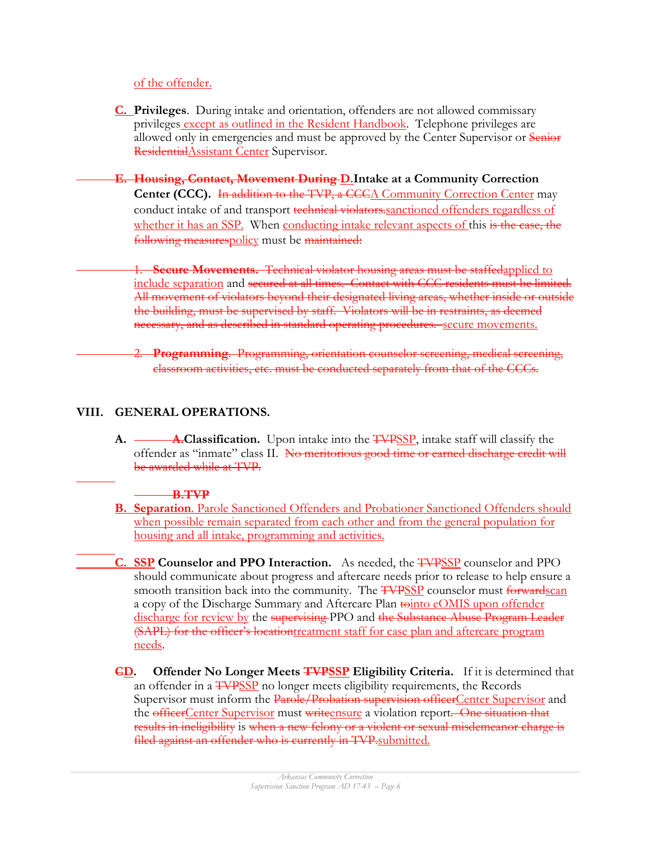#### of the offender.

- **C. Privileges**. During intake and orientation, offenders are not allowed commissary privileges except as outlined in the Resident Handbook. Telephone privileges are allowed only in emergencies and must be approved by the Center Supervisor or Senior ResidentialAssistant Center Supervisor.
- **E. Housing, Contact, Movement During D.Intake at a Community Correction Center (CCC).** In addition to the TVP, a CCCA Community Correction Center may conduct intake of and transport technical violators.sanctioned offenders regardless of whether it has an SSP. When conducting intake relevant aspects of this is the case, the following measurespolicy must be maintained:

**Secure Movements.** Technical violator housing areas must be staffedapplied to include separation and secured at all times. Contact with CCC residents must be limited. All movement of violators beyond their designated living areas, whether inside or outside the building, must be supervised by staff. Violators will be in restraints, as deemed necessary, and as described in standard operating procedures. secure movements.

2. **Programming**. Programming, orientation counselor screening, medical screening, classroom activities, etc. must be conducted separately from that of the CCCs.

#### **VIII. GENERAL OPERATIONS.**

**A. A.Classification.** Upon intake into the TVPSSP, intake staff will classify the offender as "inmate" class II. No meritorious good time or earned discharge credit will be awarded while at TVP.

#### **B.TVP**

- **B. Separation**. Parole Sanctioned Offenders and Probationer Sanctioned Offenders should when possible remain separated from each other and from the general population for housing and all intake, programming and activities.
- **C. SSP Counselor and PPO Interaction.** As needed, the TVPSSP counselor and PPO should communicate about progress and aftercare needs prior to release to help ensure a smooth transition back into the community. The TVPSSP counselor must forwardscan a copy of the Discharge Summary and Aftercare Plan to into eOMIS upon offender discharge for review by the supervising PPO and the Substance Abuse Program Leader (SAPL) for the officer's locationtreatment staff for case plan and aftercare program needs.
- **CD. Offender No Longer Meets TVPSSP Eligibility Criteria.** If it is determined that an offender in a **TVPSSP** no longer meets eligibility requirements, the Records Supervisor must inform the Parole/Probation supervision officerCenter Supervisor and the officerCenter Supervisor must writeensure a violation report. One situation that results in ineligibility is when a new felony or a violent or sexual misdemeanor charge is filed against an offender who is currently in TVP-submitted.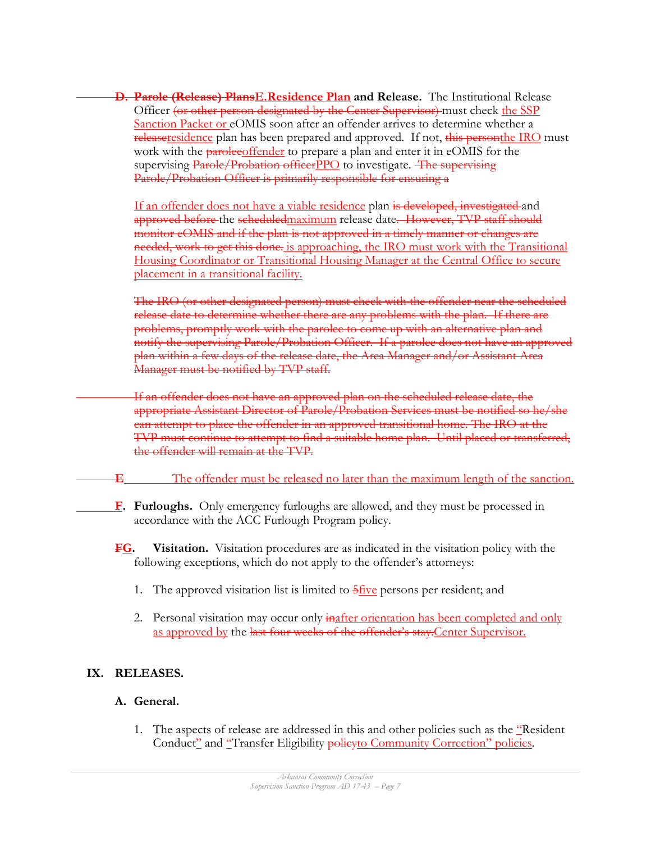**D. Parole (Release) PlansE.Residence Plan and Release.** The Institutional Release Officer (or other person designated by the Center Supervisor) must check the SSP Sanction Packet or eOMIS soon after an offender arrives to determine whether a releaser esidence plan has been prepared and approved. If not, this personthe IRO must work with the **parolee** of fender to prepare a plan and enter it in eOMIS for the supervising Parole/Probation officerPPO to investigate. The supervising Parole/Probation Officer is primarily responsible for ensuring a

If an offender does not have a viable residence plan is developed, investigated and approved before the scheduledmaximum release date. However, TVP staff should monitor eOMIS and if the plan is not approved in a timely manner or changes are needed, work to get this done. is approaching, the IRO must work with the Transitional Housing Coordinator or Transitional Housing Manager at the Central Office to secure placement in a transitional facility.

The IRO (or other designated person) must check with the offender near the scheduled release date to determine whether there are any problems with the plan. If there are problems, promptly work with the parolee to come up with an alternative plan and notify the supervising Parole/Probation Officer. If a parolee does not have an approved plan within a few days of the release date, the Area Manager and/or Assistant Area Manager must be notified by TVP staff.

If an offender does not have an approved plan on the scheduled release date, the appropriate Assistant Director of Parole/Probation Services must be notified so he/she can attempt to place the offender in an approved transitional home. The IRO at the TVP must continue to attempt to find a suitable home plan. Until placed or transferred, the offender will remain at the TVP.

**E** The offender must be released no later than the maximum length of the sanction.

- **F. Furloughs.** Only emergency furloughs are allowed, and they must be processed in accordance with the ACC Furlough Program policy.
	- **FG. Visitation.** Visitation procedures are as indicated in the visitation policy with the following exceptions, which do not apply to the offender's attorneys:
		- 1. The approved visitation list is limited to  $\frac{5 \text{ five}}{2}$  persons per resident; and
		- 2. Personal visitation may occur only in after orientation has been completed and only as approved by the last four weeks of the offender's stay.Center Supervisor.

# **IX. RELEASES.**

# **A. General.**

1. The aspects of release are addressed in this and other policies such as the "Resident Conduct" and "Transfer Eligibility policyto Community Correction" policies.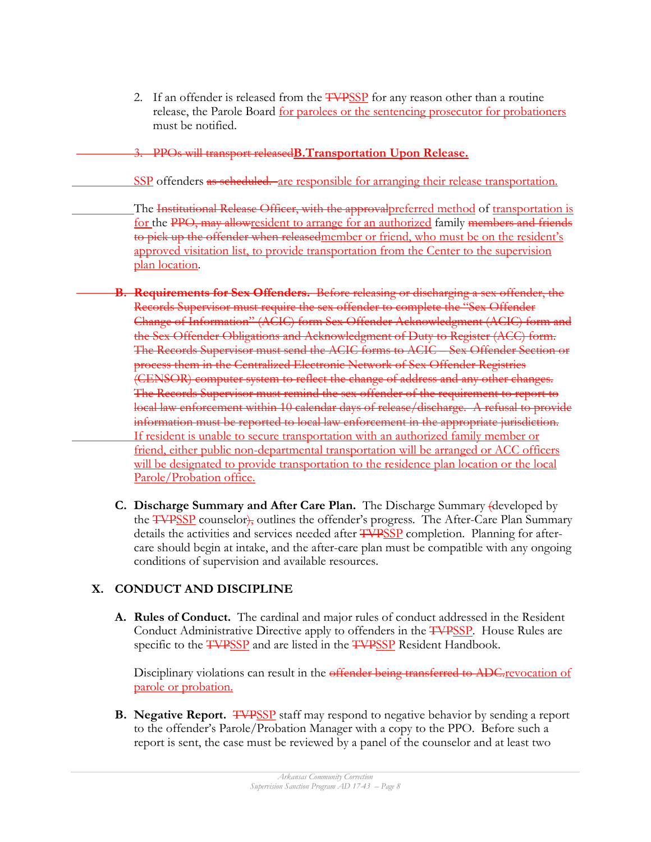- 2. If an offender is released from the TVPSSP for any reason other than a routine release, the Parole Board for parolees or the sentencing prosecutor for probationers must be notified.
- 3. PPOs will transport released**B.Transportation Upon Release.**

SSP offenders as scheduled. are responsible for arranging their release transportation.

- The Institutional Release Officer, with the approval preferred method of transportation is for the PPO, may allowresident to arrange for an authorized family members and friends to pick up the offender when releasedmember or friend, who must be on the resident's approved visitation list, to provide transportation from the Center to the supervision plan location.
- **B. Requirements for Sex Offenders.** Before releasing or discharging a sex offender, the Records Supervisor must require the sex offender to complete the "Sex Offender Change of Information" (ACIC) form Sex Offender Acknowledgment (ACIC) form and the Sex Offender Obligations and Acknowledgment of Duty to Register (ACC) form. The Records Supervisor must send the ACIC forms to ACIC – Sex Offender Section or process them in the Centralized Electronic Network of Sex Offender Registries (CENSOR) computer system to reflect the change of address and any other changes. The Records Supervisor must remind the sex offender of the requirement to report to local law enforcement within 10 calendar days of release/discharge. A refusal to provide information must be reported to local law enforcement in the appropriate jurisdiction. If resident is unable to secure transportation with an authorized family member or friend, either public non-departmental transportation will be arranged or ACC officers will be designated to provide transportation to the residence plan location or the local Parole/Probation office.
	- **C. Discharge Summary and After Care Plan.** The Discharge Summary (developed by the <del>TVPSSP</del> counselor), outlines the offender's progress. The After-Care Plan Summary details the activities and services needed after **TVPSSP** completion. Planning for aftercare should begin at intake, and the after-care plan must be compatible with any ongoing conditions of supervision and available resources.

# **X. CONDUCT AND DISCIPLINE**

**A. Rules of Conduct.** The cardinal and major rules of conduct addressed in the Resident Conduct Administrative Directive apply to offenders in the TVPSSP. House Rules are specific to the **TVPSSP** and are listed in the TVPSSP Resident Handbook.

Disciplinary violations can result in the offender being transferred to ADC-revocation of parole or probation.

**B. Negative Report. TVPSSP** staff may respond to negative behavior by sending a report to the offender's Parole/Probation Manager with a copy to the PPO. Before such a report is sent, the case must be reviewed by a panel of the counselor and at least two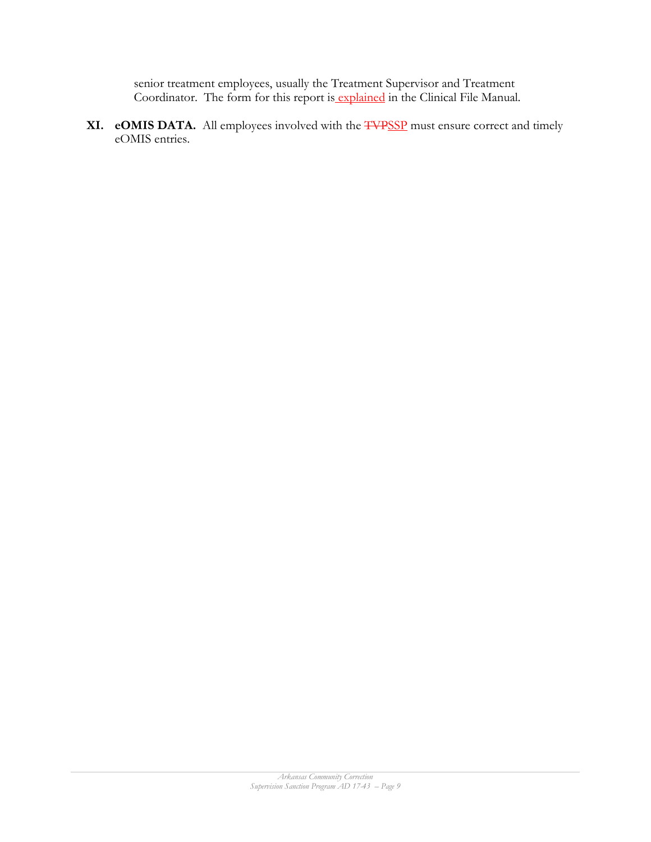senior treatment employees, usually the Treatment Supervisor and Treatment Coordinator. The form for this report is explained in the Clinical File Manual.

**XI. eOMIS DATA.** All employees involved with the TVPSSP must ensure correct and timely eOMIS entries.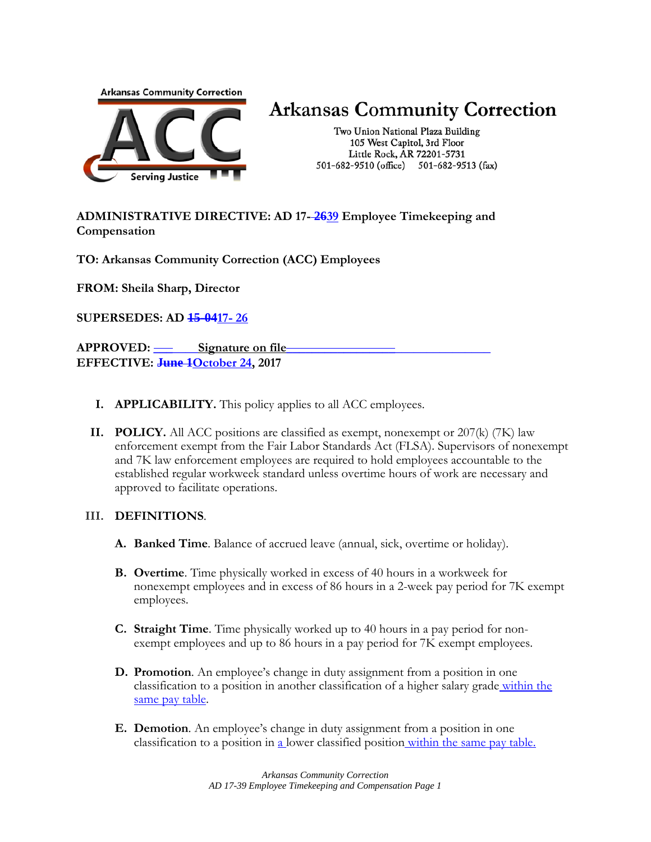

# **Arkansas Community Correction**

Two Union National Plaza Building 105 West Capitol, 3rd Floor Little Rock, AR 72201-5731 501-682-9510 (office) 501-682-9513 (fax)

**ADMINISTRATIVE DIRECTIVE: AD 17- 2639 Employee Timekeeping and Compensation**

**TO: Arkansas Community Correction (ACC) Employees**

**FROM: Sheila Sharp, Director**

**SUPERSEDES: AD 15-0417- 26**

**APPROVED: \_\_\_\_\_\_\_Signature on file\_\_\_\_\_\_\_\_\_\_\_\_\_\_\_\_\_\_\_\_\_\_\_\_\_\_\_\_\_\_\_\_ EFFECTIVE: June 1October 24, 2017**

- **I. APPLICABILITY.** This policy applies to all ACC employees.
- **II. POLICY.** All ACC positions are classified as exempt, nonexempt or 207(k) (7K) law enforcement exempt from the Fair Labor Standards Act (FLSA). Supervisors of nonexempt and 7K law enforcement employees are required to hold employees accountable to the established regular workweek standard unless overtime hours of work are necessary and approved to facilitate operations.

#### **III. DEFINITIONS**.

- **A. Banked Time**. Balance of accrued leave (annual, sick, overtime or holiday).
- **B. Overtime**. Time physically worked in excess of 40 hours in a workweek for nonexempt employees and in excess of 86 hours in a 2-week pay period for 7K exempt employees.
- **C. Straight Time**. Time physically worked up to 40 hours in a pay period for nonexempt employees and up to 86 hours in a pay period for 7K exempt employees.
- **D. Promotion**. An employee's change in duty assignment from a position in one classification to a position in another classification of a higher salary grade within the same pay table.
- **E. Demotion**. An employee's change in duty assignment from a position in one classification to a position in a lower classified position within the same pay table.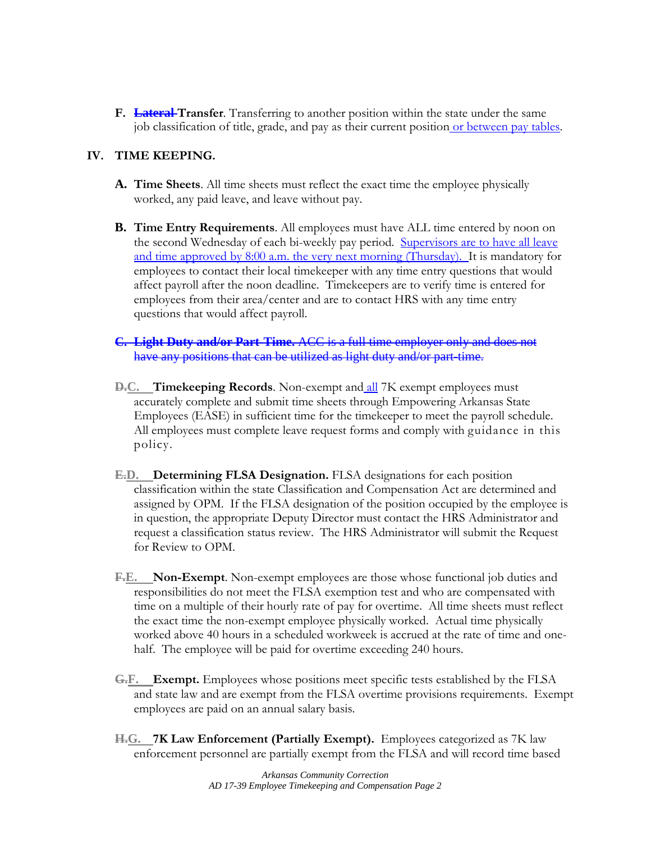**F. Lateral Transfer**. Transferring to another position within the state under the same job classification of title, grade, and pay as their current position or between pay tables.

#### **IV. TIME KEEPING.**

- **A. Time Sheets**. All time sheets must reflect the exact time the employee physically worked, any paid leave, and leave without pay.
- **B. Time Entry Requirements**. All employees must have ALL time entered by noon on the second Wednesday of each bi-weekly pay period. Supervisors are to have all leave and time approved by 8:00 a.m. the very next morning (Thursday). It is mandatory for employees to contact their local timekeeper with any time entry questions that would affect payroll after the noon deadline. Timekeepers are to verify time is entered for employees from their area/center and are to contact HRS with any time entry questions that would affect payroll.
- **C. Light Duty and/or Part**-**Time.** ACC is a full time employer only and does not have any positions that can be utilized as light duty and/or part-time.
- **D.C. Timekeeping Records**. Non-exempt and all 7K exempt employees must accurately complete and submit time sheets through Empowering Arkansas State Employees (EASE) in sufficient time for the timekeeper to meet the payroll schedule. All employees must complete leave request forms and comply with guidance in this policy.
- **E.D. Determining FLSA Designation.** FLSA designations for each position classification within the state Classification and Compensation Act are determined and assigned by OPM. If the FLSA designation of the position occupied by the employee is in question, the appropriate Deputy Director must contact the HRS Administrator and request a classification status review. The HRS Administrator will submit the Request for Review to OPM.
- **F.E. Non-Exempt**. Non-exempt employees are those whose functional job duties and responsibilities do not meet the FLSA exemption test and who are compensated with time on a multiple of their hourly rate of pay for overtime. All time sheets must reflect the exact time the non-exempt employee physically worked. Actual time physically worked above 40 hours in a scheduled workweek is accrued at the rate of time and onehalf. The employee will be paid for overtime exceeding 240 hours.
- **G.F. Exempt.** Employees whose positions meet specific tests established by the FLSA and state law and are exempt from the FLSA overtime provisions requirements. Exempt employees are paid on an annual salary basis.
- **H.G. 7K Law Enforcement (Partially Exempt).** Employees categorized as 7K law enforcement personnel are partially exempt from the FLSA and will record time based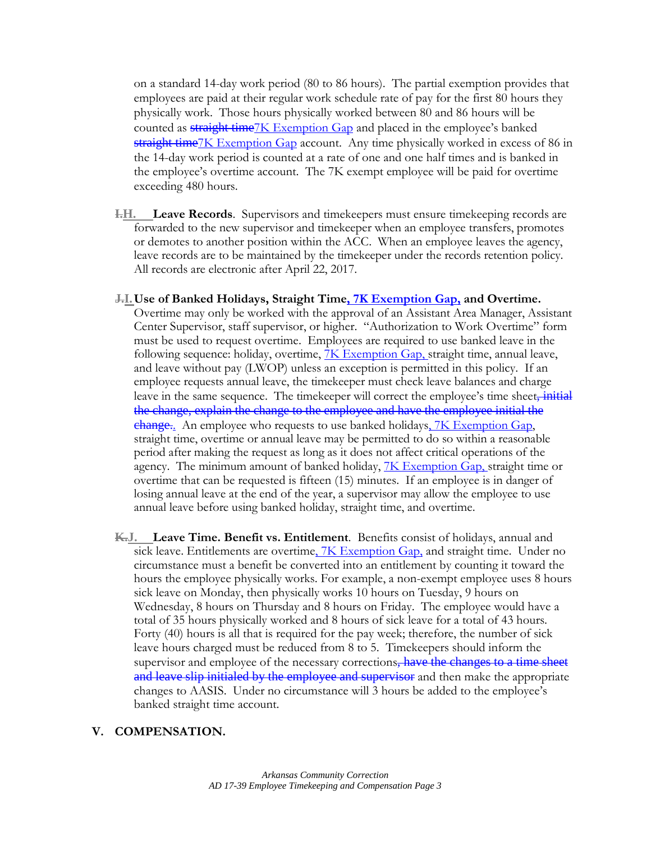on a standard 14-day work period (80 to 86 hours). The partial exemption provides that employees are paid at their regular work schedule rate of pay for the first 80 hours they physically work. Those hours physically worked between 80 and 86 hours will be counted as straight time7K Exemption Gap and placed in the employee's banked straight time7K Exemption Gap account. Any time physically worked in excess of 86 in the 14-day work period is counted at a rate of one and one half times and is banked in the employee's overtime account. The 7K exempt employee will be paid for overtime exceeding 480 hours.

- **I.H. Leave Records**. Supervisors and timekeepers must ensure timekeeping records are forwarded to the new supervisor and timekeeper when an employee transfers, promotes or demotes to another position within the ACC. When an employee leaves the agency, leave records are to be maintained by the timekeeper under the records retention policy. All records are electronic after April 22, 2017.
- **J.I.Use of Banked Holidays, Straight Time, 7K Exemption Gap, and Overtime.** Overtime may only be worked with the approval of an Assistant Area Manager, Assistant Center Supervisor, staff supervisor, or higher. "Authorization to Work Overtime" form must be used to request overtime. Employees are required to use banked leave in the following sequence: holiday, overtime, 7K Exemption Gap, straight time, annual leave, and leave without pay (LWOP) unless an exception is permitted in this policy. If an employee requests annual leave, the timekeeper must check leave balances and charge leave in the same sequence. The timekeeper will correct the employee's time sheet, initial the change, explain the change to the employee and have the employee initial the change.. An employee who requests to use banked holidays, 7K Exemption Gap, straight time, overtime or annual leave may be permitted to do so within a reasonable period after making the request as long as it does not affect critical operations of the agency. The minimum amount of banked holiday, **7K Exemption Gap**, straight time or overtime that can be requested is fifteen (15) minutes. If an employee is in danger of losing annual leave at the end of the year, a supervisor may allow the employee to use annual leave before using banked holiday, straight time, and overtime.
- **K.J. Leave Time. Benefit vs. Entitlement**. Benefits consist of holidays, annual and sick leave. Entitlements are overtime, 7K Exemption Gap, and straight time. Under no circumstance must a benefit be converted into an entitlement by counting it toward the hours the employee physically works. For example, a non-exempt employee uses 8 hours sick leave on Monday, then physically works 10 hours on Tuesday, 9 hours on Wednesday, 8 hours on Thursday and 8 hours on Friday. The employee would have a total of 35 hours physically worked and 8 hours of sick leave for a total of 43 hours. Forty (40) hours is all that is required for the pay week; therefore, the number of sick leave hours charged must be reduced from 8 to 5. Timekeepers should inform the supervisor and employee of the necessary corrections, have the changes to a time sheet and leave slip initialed by the employee and supervisor and then make the appropriate changes to AASIS. Under no circumstance will 3 hours be added to the employee's banked straight time account.

#### **V. COMPENSATION.**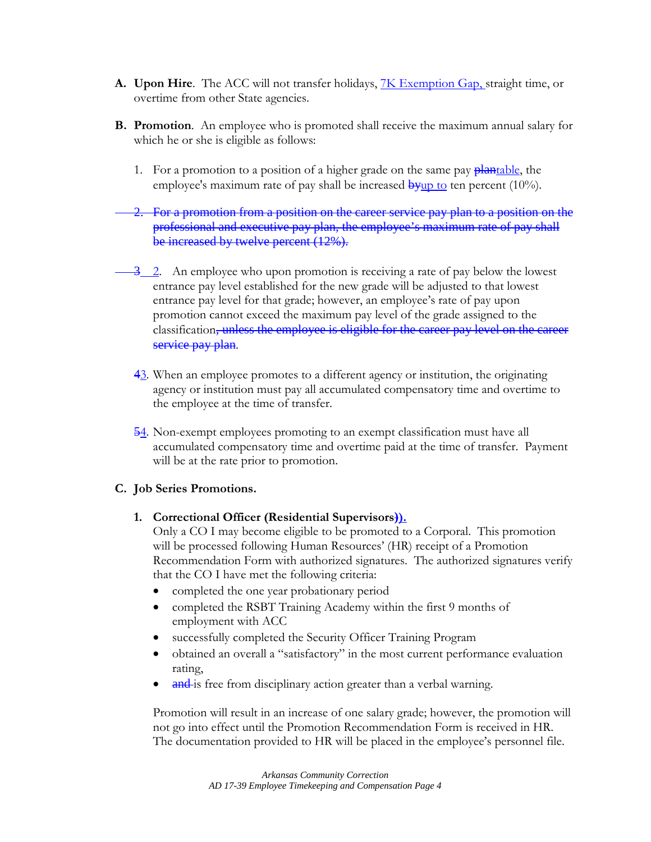- **A. Upon Hire**. The ACC will not transfer holidays, 7K Exemption Gap, straight time, or overtime from other State agencies.
- **B. Promotion**. An employee who is promoted shall receive the maximum annual salary for which he or she is eligible as follows:
	- 1. For a promotion to a position of a higher grade on the same pay **plantable**, the employee's maximum rate of pay shall be increased  $\frac{b \cdot y}{c}$  to ten percent (10%).
- 2. For a promotion from a position on the career service pay plan to a position on the professional and executive pay plan, the employee's maximum rate of pay shall be increased by twelve percent  $(12%)$ .
- $\frac{3}{2}$ . An employee who upon promotion is receiving a rate of pay below the lowest entrance pay level established for the new grade will be adjusted to that lowest entrance pay level for that grade; however, an employee's rate of pay upon promotion cannot exceed the maximum pay level of the grade assigned to the classification<del>, unless the employee is eligible for the career pay level on the career</del> service pay plan.
	- 43. When an employee promotes to a different agency or institution, the originating agency or institution must pay all accumulated compensatory time and overtime to the employee at the time of transfer.
	- 54. Non-exempt employees promoting to an exempt classification must have all accumulated compensatory time and overtime paid at the time of transfer. Payment will be at the rate prior to promotion.

#### **C. Job Series Promotions.**

#### **1. Correctional Officer (Residential Supervisors)).**

Only a CO I may become eligible to be promoted to a Corporal. This promotion will be processed following Human Resources' (HR) receipt of a Promotion Recommendation Form with authorized signatures. The authorized signatures verify that the CO I have met the following criteria:

- completed the one year probationary period
- completed the RSBT Training Academy within the first 9 months of employment with ACC
- successfully completed the Security Officer Training Program
- obtained an overall a "satisfactory" in the most current performance evaluation rating,
- and is free from disciplinary action greater than a verbal warning.

Promotion will result in an increase of one salary grade; however, the promotion will not go into effect until the Promotion Recommendation Form is received in HR. The documentation provided to HR will be placed in the employee's personnel file.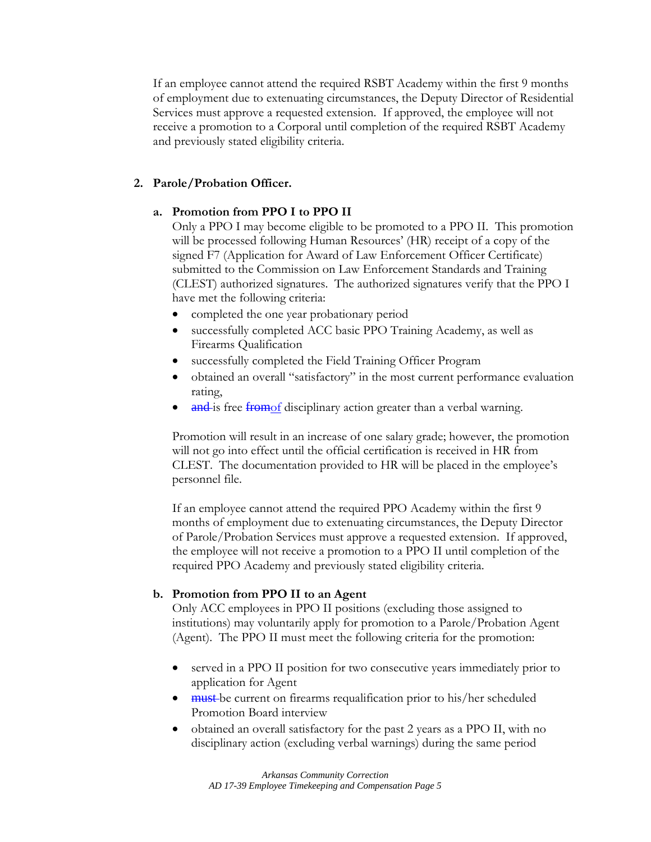If an employee cannot attend the required RSBT Academy within the first 9 months of employment due to extenuating circumstances, the Deputy Director of Residential Services must approve a requested extension. If approved, the employee will not receive a promotion to a Corporal until completion of the required RSBT Academy and previously stated eligibility criteria.

#### **2. Parole/Probation Officer.**

#### **a. Promotion from PPO I to PPO II**

Only a PPO I may become eligible to be promoted to a PPO II. This promotion will be processed following Human Resources' (HR) receipt of a copy of the signed F7 (Application for Award of Law Enforcement Officer Certificate) submitted to the Commission on Law Enforcement Standards and Training (CLEST) authorized signatures. The authorized signatures verify that the PPO I have met the following criteria:

- completed the one year probationary period
- successfully completed ACC basic PPO Training Academy, as well as Firearms Qualification
- successfully completed the Field Training Officer Program
- obtained an overall "satisfactory" in the most current performance evaluation rating,
- and is free from of disciplinary action greater than a verbal warning.

Promotion will result in an increase of one salary grade; however, the promotion will not go into effect until the official certification is received in HR from CLEST. The documentation provided to HR will be placed in the employee's personnel file.

If an employee cannot attend the required PPO Academy within the first 9 months of employment due to extenuating circumstances, the Deputy Director of Parole/Probation Services must approve a requested extension. If approved, the employee will not receive a promotion to a PPO II until completion of the required PPO Academy and previously stated eligibility criteria.

#### **b. Promotion from PPO II to an Agent**

Only ACC employees in PPO II positions (excluding those assigned to institutions) may voluntarily apply for promotion to a Parole/Probation Agent (Agent). The PPO II must meet the following criteria for the promotion:

- served in a PPO II position for two consecutive years immediately prior to application for Agent
- must be current on firearms requalification prior to his/her scheduled Promotion Board interview
- obtained an overall satisfactory for the past 2 years as a PPO II, with no disciplinary action (excluding verbal warnings) during the same period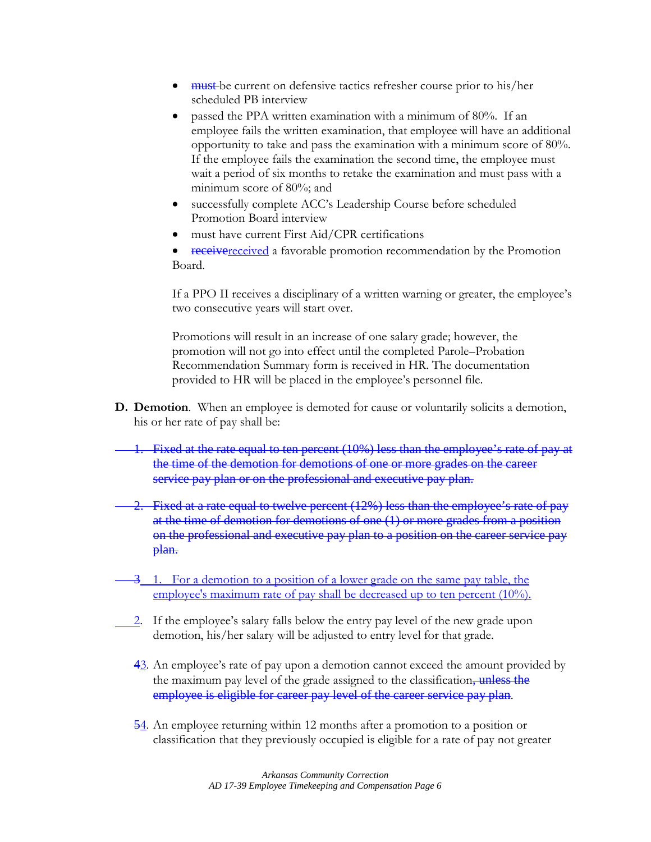- must be current on defensive tactics refresher course prior to his/her scheduled PB interview
- passed the PPA written examination with a minimum of 80%. If an employee fails the written examination, that employee will have an additional opportunity to take and pass the examination with a minimum score of 80%. If the employee fails the examination the second time, the employee must wait a period of six months to retake the examination and must pass with a minimum score of 80%; and
- successfully complete ACC's Leadership Course before scheduled Promotion Board interview
- must have current First Aid/CPR certifications
- receivereceived a favorable promotion recommendation by the Promotion Board.

If a PPO II receives a disciplinary of a written warning or greater, the employee's two consecutive years will start over.

Promotions will result in an increase of one salary grade; however, the promotion will not go into effect until the completed Parole–Probation Recommendation Summary form is received in HR. The documentation provided to HR will be placed in the employee's personnel file.

- **D. Demotion**. When an employee is demoted for cause or voluntarily solicits a demotion, his or her rate of pay shall be:
- 1. Fixed at the rate equal to ten percent (10%) less than the employee's rate of pay at the time of the demotion for demotions of one or more grades on the career service pay plan or on the professional and executive pay plan.
- 2. Fixed at a rate equal to twelve percent (12%) less than the employee's rate of pay at the time of demotion for demotions of one (1) or more grades from a position on the professional and executive pay plan to a position on the career service pay plan.
- 3 1. For a demotion to a position of a lower grade on the same pay table, the employee's maximum rate of pay shall be decreased up to ten percent (10%).
- 2. If the employee's salary falls below the entry pay level of the new grade upon demotion, his/her salary will be adjusted to entry level for that grade.
	- $42$ . An employee's rate of pay upon a demotion cannot exceed the amount provided by the maximum pay level of the grade assigned to the classification, unless the employee is eligible for career pay level of the career service pay plan.
	- 54. An employee returning within 12 months after a promotion to a position or classification that they previously occupied is eligible for a rate of pay not greater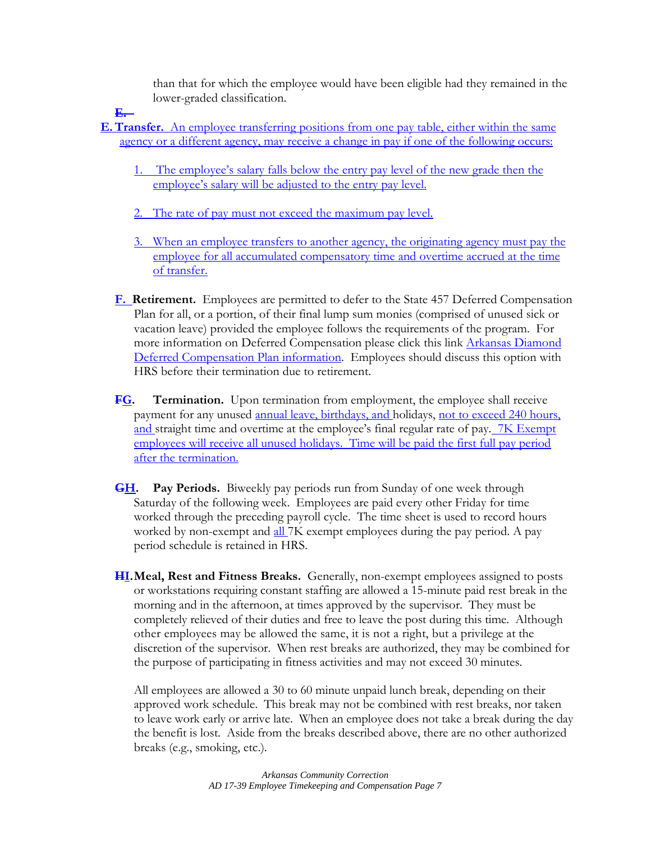than that for which the employee would have been eligible had they remained in the lower-graded classification.

- **E.**
- **E.Transfer.** An employee transferring positions from one pay table, either within the same agency or a different agency, may receive a change in pay if one of the following occurs:
	- 1. The employee's salary falls below the entry pay level of the new grade then the employee's salary will be adjusted to the entry pay level.
	- 2. The rate of pay must not exceed the maximum pay level.
	- 3. When an employee transfers to another agency, the originating agency must pay the employee for all accumulated compensatory time and overtime accrued at the time of transfer.
	- **F. Retirement.** Employees are permitted to defer to the State 457 Deferred Compensation Plan for all, or a portion, of their final lump sum monies (comprised of unused sick or vacation leave) provided the employee follows the requirements of the program. For more information on Deferred Compensation please click this link Arkansas Diamond [Deferred Compensation Plan information.](https://myplan.voya.com/einfo/planinfo.aspx?cl=GOVCR1&pl=711001PU&page=plan_informationintroduction&domain=myplan.ingplans.com) Employees should discuss this option with HRS before their termination due to retirement.
	- **FG. Termination.** Upon termination from employment, the employee shall receive payment for any unused annual leave, birthdays, and holidays, not to exceed 240 hours, and straight time and overtime at the employee's final regular rate of pay. 7K Exempt employees will receive all unused holidays. Time will be paid the first full pay period after the termination.
	- **GH. Pay Periods.** Biweekly pay periods run from Sunday of one week through Saturday of the following week. Employees are paid every other Friday for time worked through the preceding payroll cycle. The time sheet is used to record hours worked by non-exempt and all 7K exempt employees during the pay period. A pay period schedule is retained in HRS.
	- **HI.Meal, Rest and Fitness Breaks.** Generally, non-exempt employees assigned to posts or workstations requiring constant staffing are allowed a 15-minute paid rest break in the morning and in the afternoon, at times approved by the supervisor. They must be completely relieved of their duties and free to leave the post during this time. Although other employees may be allowed the same, it is not a right, but a privilege at the discretion of the supervisor. When rest breaks are authorized, they may be combined for the purpose of participating in fitness activities and may not exceed 30 minutes.

All employees are allowed a 30 to 60 minute unpaid lunch break, depending on their approved work schedule. This break may not be combined with rest breaks, nor taken to leave work early or arrive late. When an employee does not take a break during the day the benefit is lost. Aside from the breaks described above, there are no other authorized breaks (e.g., smoking, etc.).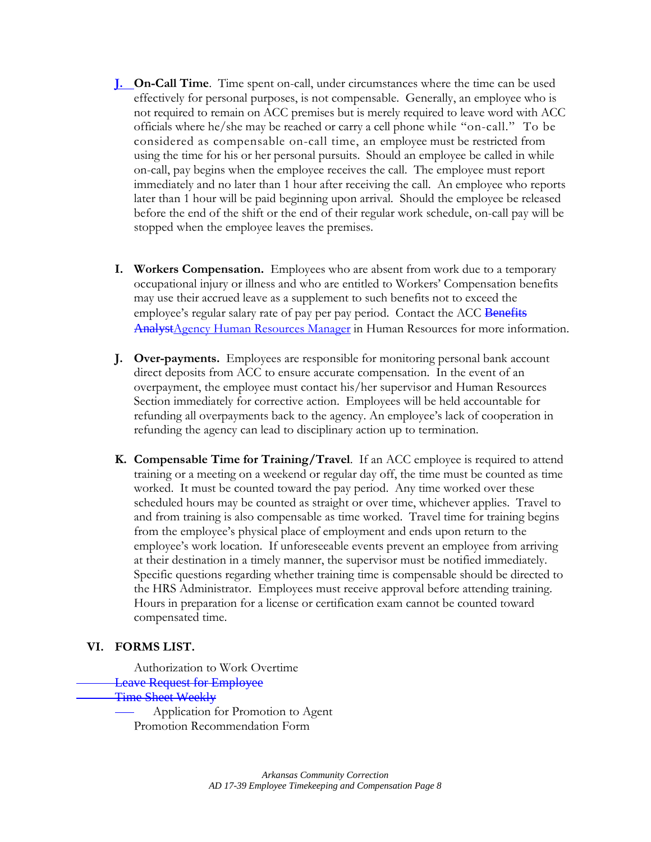- **J. On-Call Time**. Time spent on-call, under circumstances where the time can be used effectively for personal purposes, is not compensable. Generally, an employee who is not required to remain on ACC premises but is merely required to leave word with ACC officials where he/she may be reached or carry a cell phone while "on-call." To be considered as compensable on-call time, an employee must be restricted from using the time for his or her personal pursuits. Should an employee be called in while on-call, pay begins when the employee receives the call. The employee must report immediately and no later than 1 hour after receiving the call. An employee who reports later than 1 hour will be paid beginning upon arrival. Should the employee be released before the end of the shift or the end of their regular work schedule, on-call pay will be stopped when the employee leaves the premises.
- **I. Workers Compensation.** Employees who are absent from work due to a temporary occupational injury or illness and who are entitled to Workers' Compensation benefits may use their accrued leave as a supplement to such benefits not to exceed the employee's regular salary rate of pay per pay period. Contact the ACC Benefits AnalystAgency Human Resources Manager in Human Resources for more information.
- **J. Over-payments.** Employees are responsible for monitoring personal bank account direct deposits from ACC to ensure accurate compensation. In the event of an overpayment, the employee must contact his/her supervisor and Human Resources Section immediately for corrective action. Employees will be held accountable for refunding all overpayments back to the agency. An employee's lack of cooperation in refunding the agency can lead to disciplinary action up to termination.
- **K. Compensable Time for Training/Travel**. If an ACC employee is required to attend training or a meeting on a weekend or regular day off, the time must be counted as time worked. It must be counted toward the pay period. Any time worked over these scheduled hours may be counted as straight or over time, whichever applies. Travel to and from training is also compensable as time worked. Travel time for training begins from the employee's physical place of employment and ends upon return to the employee's work location. If unforeseeable events prevent an employee from arriving at their destination in a timely manner, the supervisor must be notified immediately. Specific questions regarding whether training time is compensable should be directed to the HRS Administrator. Employees must receive approval before attending training. Hours in preparation for a license or certification exam cannot be counted toward compensated time.

#### **VI. FORMS LIST.**

Authorization to Work Overtime Leave Request for Employee Time Sheet Weekly Application for Promotion to Agent Promotion Recommendation Form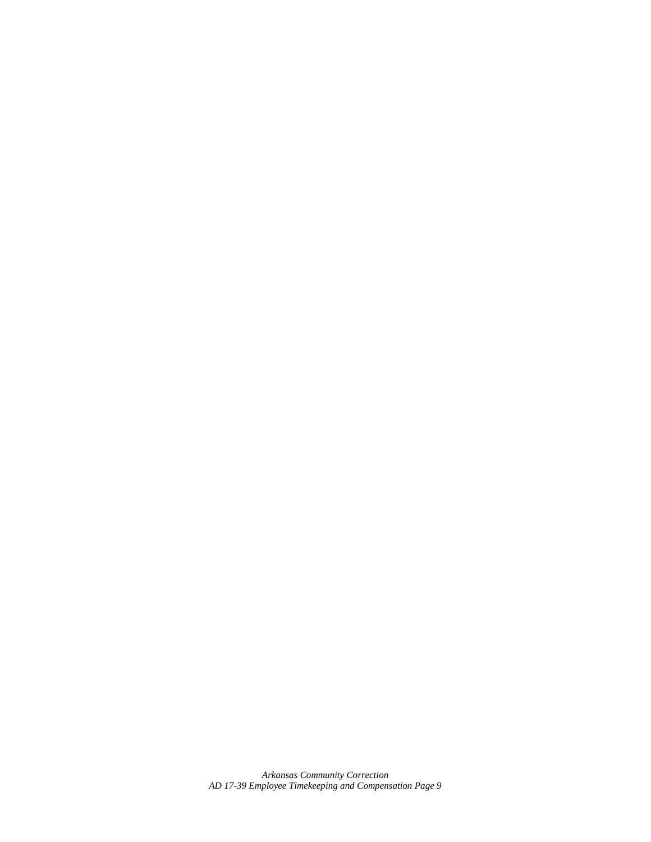*Arkansas Community Correction AD 17-39 Employee Timekeeping and Compensation Page 9*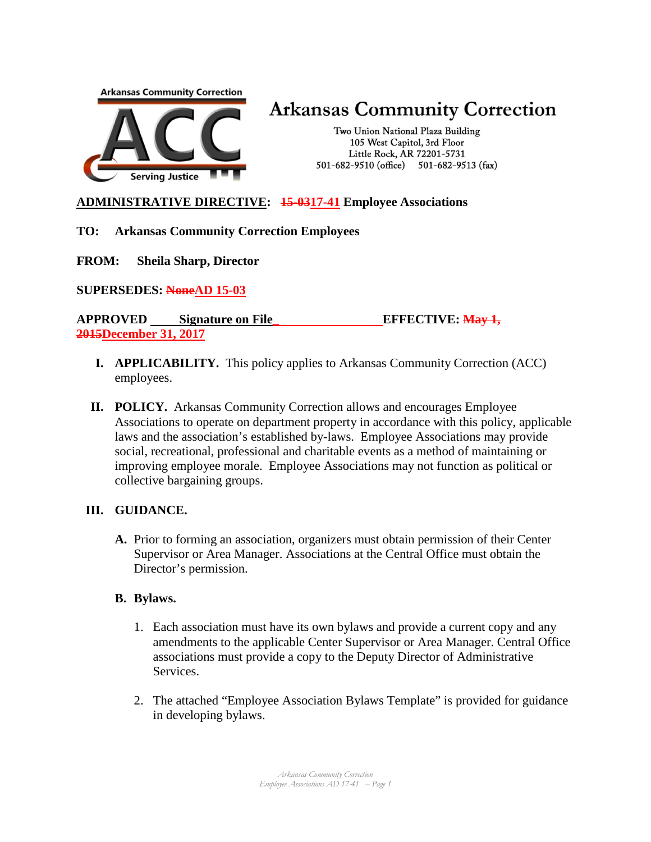



# **Arkansas Community Correction**

Two Union National Plaza Building 105 West Capitol, 3rd Floor Little Rock, AR 72201-5731 501-682-9510 (office) 501-682-9513 (fax)

#### **ADMINISTRATIVE DIRECTIVE: 15-0317-41 Employee Associations**

- **TO: Arkansas Community Correction Employees**
- **FROM: Sheila Sharp, Director**

**SUPERSEDES: NoneAD 15-03**

**APPROVED Signature on File\_ EFFECTIVE: May 1, 2015December 31, 2017**

- **I. APPLICABILITY.** This policy applies to Arkansas Community Correction (ACC) employees.
- **II. POLICY.** Arkansas Community Correction allows and encourages Employee Associations to operate on department property in accordance with this policy, applicable laws and the association's established by-laws. Employee Associations may provide social, recreational, professional and charitable events as a method of maintaining or improving employee morale. Employee Associations may not function as political or collective bargaining groups.

#### **III. GUIDANCE.**

**A.** Prior to forming an association, organizers must obtain permission of their Center Supervisor or Area Manager. Associations at the Central Office must obtain the Director's permission.

#### **B. Bylaws.**

- 1. Each association must have its own bylaws and provide a current copy and any amendments to the applicable Center Supervisor or Area Manager. Central Office associations must provide a copy to the Deputy Director of Administrative Services.
- 2. The attached "Employee Association Bylaws Template" is provided for guidance in developing bylaws.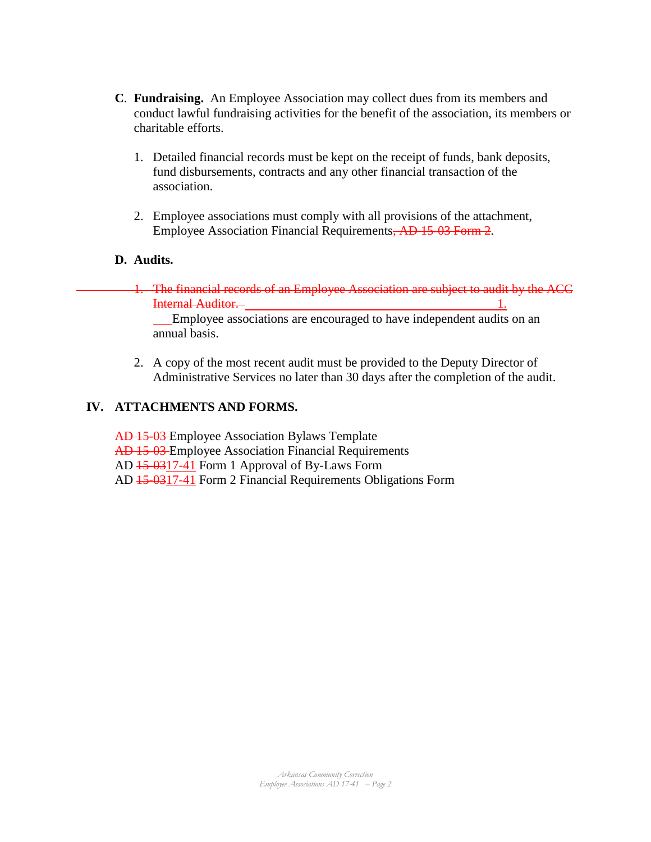- **C**. **Fundraising.** An Employee Association may collect dues from its members and conduct lawful fundraising activities for the benefit of the association, its members or charitable efforts.
	- 1. Detailed financial records must be kept on the receipt of funds, bank deposits, fund disbursements, contracts and any other financial transaction of the association.
	- 2. Employee associations must comply with all provisions of the attachment, Employee Association Financial Requirements, AD 15-03 Form 2.

#### **D. Audits.**

- 1. The financial records of an Employee Association are subject to audit by the ACC Internal Auditor. (1) 1. Employee associations are encouraged to have independent audits on an annual basis.
- 2. A copy of the most recent audit must be provided to the Deputy Director of Administrative Services no later than 30 days after the completion of the audit.

### **IV. ATTACHMENTS AND FORMS.**

AD 15-03 Employee Association Bylaws Template AD 15-03 Employee Association Financial Requirements AD 15-0317-41 Form 1 Approval of By-Laws Form AD 15-0317-41 Form 2 Financial Requirements Obligations Form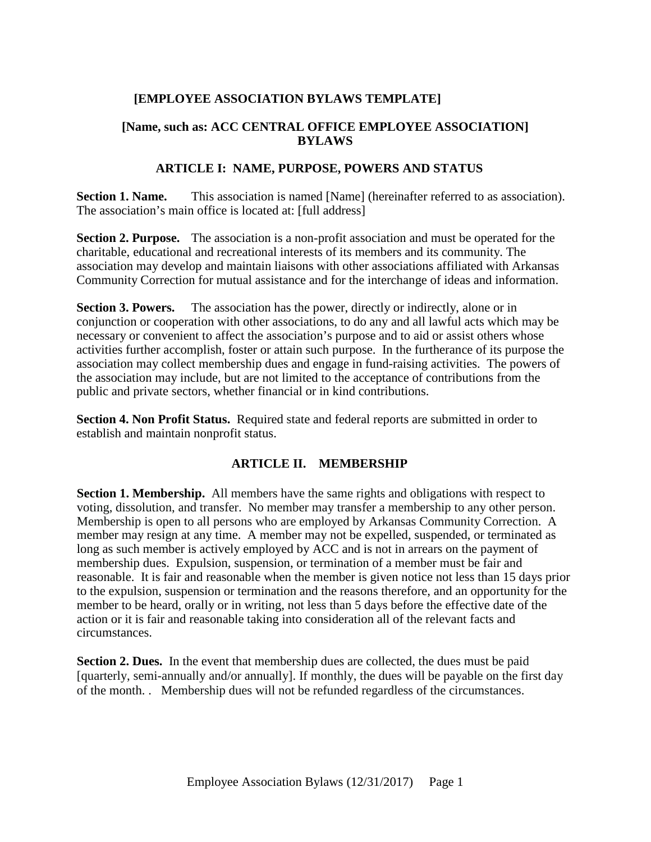#### **[EMPLOYEE ASSOCIATION BYLAWS TEMPLATE]**

#### **[Name, such as: ACC CENTRAL OFFICE EMPLOYEE ASSOCIATION] BYLAWS**

#### **ARTICLE I: NAME, PURPOSE, POWERS AND STATUS**

**Section 1. Name.** This association is named [Name] (hereinafter referred to as association). The association's main office is located at: [full address]

**Section 2. Purpose.** The association is a non-profit association and must be operated for the charitable, educational and recreational interests of its members and its community. The association may develop and maintain liaisons with other associations affiliated with Arkansas Community Correction for mutual assistance and for the interchange of ideas and information.

**Section 3. Powers.** The association has the power, directly or indirectly, alone or in conjunction or cooperation with other associations, to do any and all lawful acts which may be necessary or convenient to affect the association's purpose and to aid or assist others whose activities further accomplish, foster or attain such purpose. In the furtherance of its purpose the association may collect membership dues and engage in fund-raising activities. The powers of the association may include, but are not limited to the acceptance of contributions from the public and private sectors, whether financial or in kind contributions.

**Section 4. Non Profit Status.** Required state and federal reports are submitted in order to establish and maintain nonprofit status.

#### **ARTICLE II. MEMBERSHIP**

**Section 1. Membership.** All members have the same rights and obligations with respect to voting, dissolution, and transfer. No member may transfer a membership to any other person. Membership is open to all persons who are employed by Arkansas Community Correction. A member may resign at any time. A member may not be expelled, suspended, or terminated as long as such member is actively employed by ACC and is not in arrears on the payment of membership dues. Expulsion, suspension, or termination of a member must be fair and reasonable. It is fair and reasonable when the member is given notice not less than 15 days prior to the expulsion, suspension or termination and the reasons therefore, and an opportunity for the member to be heard, orally or in writing, not less than 5 days before the effective date of the action or it is fair and reasonable taking into consideration all of the relevant facts and circumstances.

**Section 2. Dues.** In the event that membership dues are collected, the dues must be paid [quarterly, semi-annually and/or annually]. If monthly, the dues will be payable on the first day of the month. . Membership dues will not be refunded regardless of the circumstances.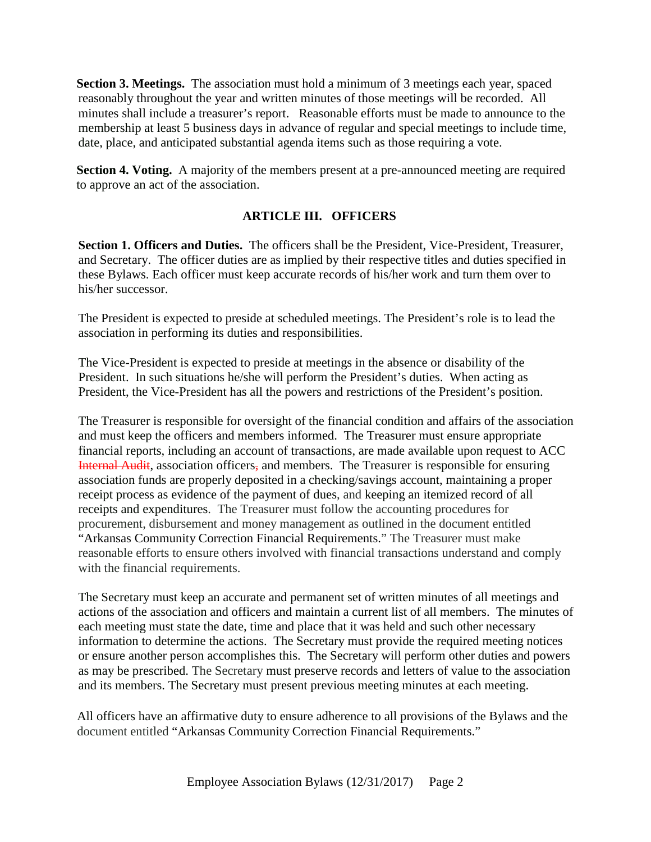**Section 3. Meetings.** The association must hold a minimum of 3 meetings each year, spaced reasonably throughout the year and written minutes of those meetings will be recorded. All minutes shall include a treasurer's report. Reasonable efforts must be made to announce to the membership at least 5 business days in advance of regular and special meetings to include time, date, place, and anticipated substantial agenda items such as those requiring a vote.

**Section 4. Voting.** A majority of the members present at a pre-announced meeting are required to approve an act of the association.

### **ARTICLE III. OFFICERS**

**Section 1. Officers and Duties.** The officers shall be the President, Vice-President, Treasurer, and Secretary. The officer duties are as implied by their respective titles and duties specified in these Bylaws. Each officer must keep accurate records of his/her work and turn them over to his/her successor.

The President is expected to preside at scheduled meetings. The President's role is to lead the association in performing its duties and responsibilities.

The Vice-President is expected to preside at meetings in the absence or disability of the President. In such situations he/she will perform the President's duties. When acting as President, the Vice-President has all the powers and restrictions of the President's position.

The Treasurer is responsible for oversight of the financial condition and affairs of the association and must keep the officers and members informed. The Treasurer must ensure appropriate financial reports, including an account of transactions, are made available upon request to ACC Internal Audit, association officers, and members. The Treasurer is responsible for ensuring association funds are properly deposited in a checking/savings account, maintaining a proper receipt process as evidence of the payment of dues, and keeping an itemized record of all receipts and expenditures. The Treasurer must follow the accounting procedures for procurement, disbursement and money management as outlined in the document entitled "Arkansas Community Correction Financial Requirements." The Treasurer must make reasonable efforts to ensure others involved with financial transactions understand and comply with the financial requirements.

The Secretary must keep an accurate and permanent set of written minutes of all meetings and actions of the association and officers and maintain a current list of all members. The minutes of each meeting must state the date, time and place that it was held and such other necessary information to determine the actions. The Secretary must provide the required meeting notices or ensure another person accomplishes this. The Secretary will perform other duties and powers as may be prescribed. The Secretary must preserve records and letters of value to the association and its members. The Secretary must present previous meeting minutes at each meeting.

All officers have an affirmative duty to ensure adherence to all provisions of the Bylaws and the document entitled "Arkansas Community Correction Financial Requirements."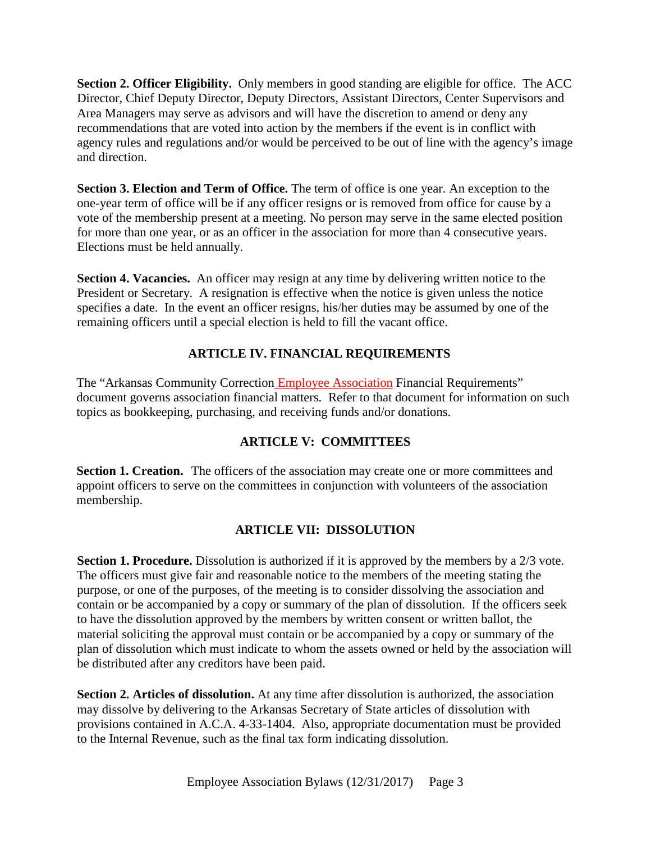**Section 2. Officer Eligibility.** Only members in good standing are eligible for office. The ACC Director, Chief Deputy Director, Deputy Directors, Assistant Directors, Center Supervisors and Area Managers may serve as advisors and will have the discretion to amend or deny any recommendations that are voted into action by the members if the event is in conflict with agency rules and regulations and/or would be perceived to be out of line with the agency's image and direction.

**Section 3. Election and Term of Office.** The term of office is one year. An exception to the one-year term of office will be if any officer resigns or is removed from office for cause by a vote of the membership present at a meeting. No person may serve in the same elected position for more than one year, or as an officer in the association for more than 4 consecutive years. Elections must be held annually.

**Section 4. Vacancies.** An officer may resign at any time by delivering written notice to the President or Secretary. A resignation is effective when the notice is given unless the notice specifies a date. In the event an officer resigns, his/her duties may be assumed by one of the remaining officers until a special election is held to fill the vacant office.

# **ARTICLE IV. FINANCIAL REQUIREMENTS**

The "Arkansas Community Correction Employee Association Financial Requirements" document governs association financial matters. Refer to that document for information on such topics as bookkeeping, purchasing, and receiving funds and/or donations.

# **ARTICLE V: COMMITTEES**

**Section 1. Creation.** The officers of the association may create one or more committees and appoint officers to serve on the committees in conjunction with volunteers of the association membership.

# **ARTICLE VII: DISSOLUTION**

**Section 1. Procedure.** Dissolution is authorized if it is approved by the members by a 2/3 vote. The officers must give fair and reasonable notice to the members of the meeting stating the purpose, or one of the purposes, of the meeting is to consider dissolving the association and contain or be accompanied by a copy or summary of the plan of dissolution. If the officers seek to have the dissolution approved by the members by written consent or written ballot, the material soliciting the approval must contain or be accompanied by a copy or summary of the plan of dissolution which must indicate to whom the assets owned or held by the association will be distributed after any creditors have been paid.

**Section 2. Articles of dissolution.** At any time after dissolution is authorized, the association may dissolve by delivering to the Arkansas Secretary of State articles of dissolution with provisions contained in A.C.A. 4-33-1404. Also, appropriate documentation must be provided to the Internal Revenue, such as the final tax form indicating dissolution.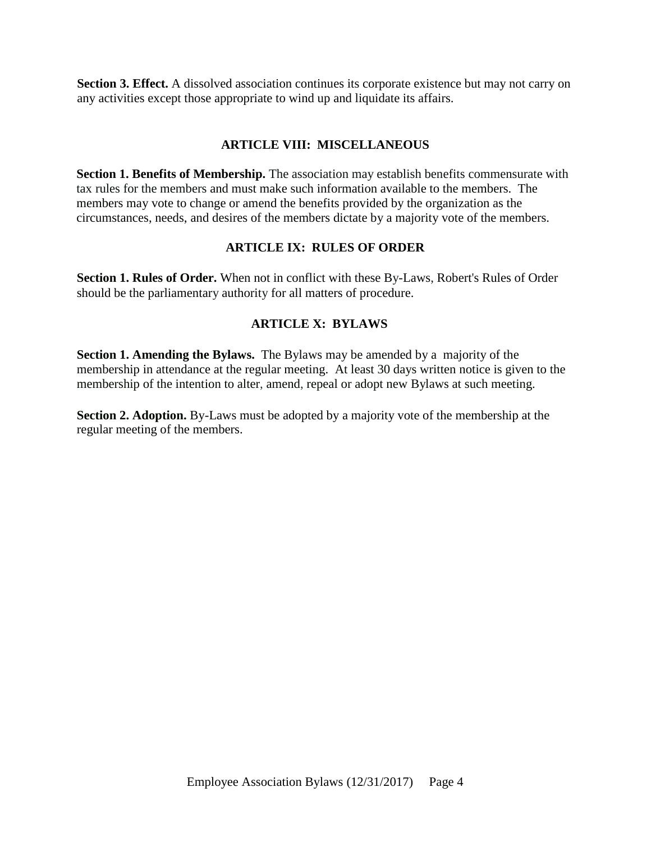**Section 3. Effect.** A dissolved association continues its corporate existence but may not carry on any activities except those appropriate to wind up and liquidate its affairs.

#### **ARTICLE VIII: MISCELLANEOUS**

**Section 1. Benefits of Membership.** The association may establish benefits commensurate with tax rules for the members and must make such information available to the members. The members may vote to change or amend the benefits provided by the organization as the circumstances, needs, and desires of the members dictate by a majority vote of the members.

#### **ARTICLE IX: RULES OF ORDER**

**Section 1. Rules of Order.** When not in conflict with these By-Laws, Robert's Rules of Order should be the parliamentary authority for all matters of procedure.

### **ARTICLE X: BYLAWS**

**Section 1. Amending the Bylaws.** The Bylaws may be amended by a majority of the membership in attendance at the regular meeting. At least 30 days written notice is given to the membership of the intention to alter, amend, repeal or adopt new Bylaws at such meeting.

**Section 2. Adoption.** By-Laws must be adopted by a majority vote of the membership at the regular meeting of the members.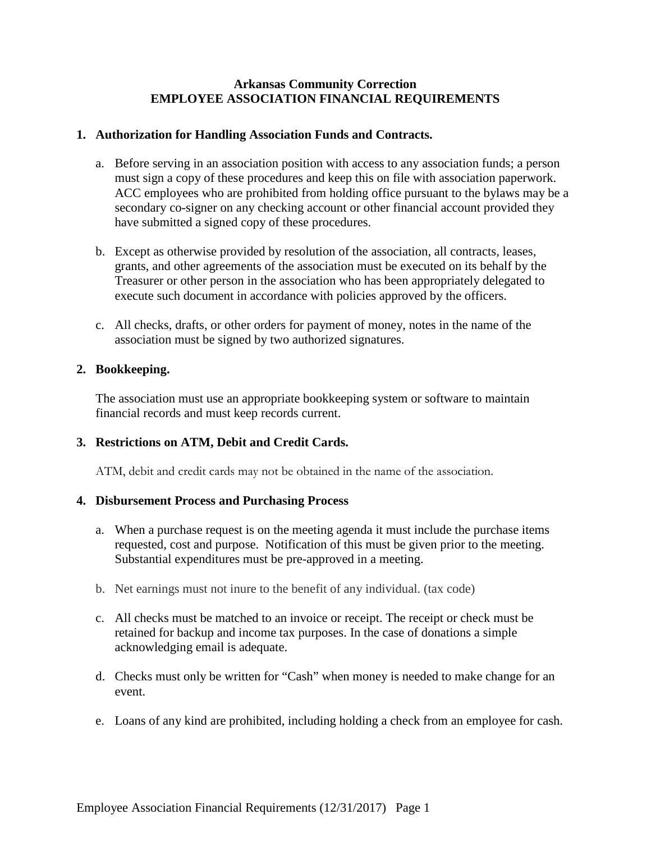#### **Arkansas Community Correction EMPLOYEE ASSOCIATION FINANCIAL REQUIREMENTS**

#### **1. Authorization for Handling Association Funds and Contracts.**

- a. Before serving in an association position with access to any association funds; a person must sign a copy of these procedures and keep this on file with association paperwork. ACC employees who are prohibited from holding office pursuant to the bylaws may be a secondary co-signer on any checking account or other financial account provided they have submitted a signed copy of these procedures.
- b. Except as otherwise provided by resolution of the association, all contracts, leases, grants, and other agreements of the association must be executed on its behalf by the Treasurer or other person in the association who has been appropriately delegated to execute such document in accordance with policies approved by the officers.
- c. All checks, drafts, or other orders for payment of money, notes in the name of the association must be signed by two authorized signatures.

#### **2. Bookkeeping.**

The association must use an appropriate bookkeeping system or software to maintain financial records and must keep records current.

#### **3. Restrictions on ATM, Debit and Credit Cards.**

ATM, debit and credit cards may not be obtained in the name of the association.

#### **4. Disbursement Process and Purchasing Process**

- a. When a purchase request is on the meeting agenda it must include the purchase items requested, cost and purpose. Notification of this must be given prior to the meeting. Substantial expenditures must be pre-approved in a meeting.
- b. Net earnings must not inure to the benefit of any individual. (tax code)
- c. All checks must be matched to an invoice or receipt. The receipt or check must be retained for backup and income tax purposes. In the case of donations a simple acknowledging email is adequate.
- d. Checks must only be written for "Cash" when money is needed to make change for an event.
- e. Loans of any kind are prohibited, including holding a check from an employee for cash.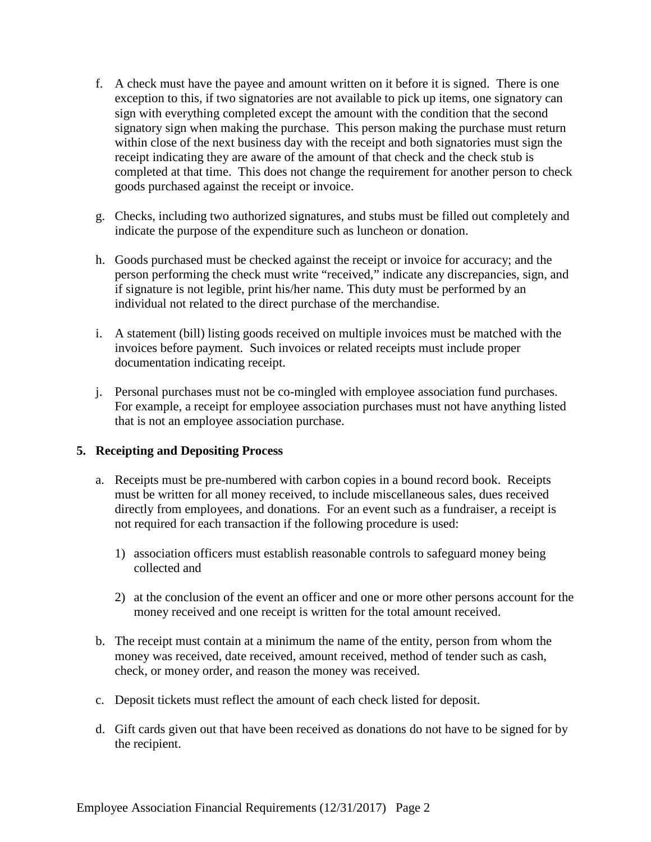- f. A check must have the payee and amount written on it before it is signed. There is one exception to this, if two signatories are not available to pick up items, one signatory can sign with everything completed except the amount with the condition that the second signatory sign when making the purchase. This person making the purchase must return within close of the next business day with the receipt and both signatories must sign the receipt indicating they are aware of the amount of that check and the check stub is completed at that time. This does not change the requirement for another person to check goods purchased against the receipt or invoice.
- g. Checks, including two authorized signatures, and stubs must be filled out completely and indicate the purpose of the expenditure such as luncheon or donation.
- h. Goods purchased must be checked against the receipt or invoice for accuracy; and the person performing the check must write "received," indicate any discrepancies, sign, and if signature is not legible, print his/her name. This duty must be performed by an individual not related to the direct purchase of the merchandise.
- i. A statement (bill) listing goods received on multiple invoices must be matched with the invoices before payment. Such invoices or related receipts must include proper documentation indicating receipt.
- j. Personal purchases must not be co-mingled with employee association fund purchases. For example, a receipt for employee association purchases must not have anything listed that is not an employee association purchase.

#### **5. Receipting and Depositing Process**

- a. Receipts must be pre-numbered with carbon copies in a bound record book. Receipts must be written for all money received, to include miscellaneous sales, dues received directly from employees, and donations. For an event such as a fundraiser, a receipt is not required for each transaction if the following procedure is used:
	- 1) association officers must establish reasonable controls to safeguard money being collected and
	- 2) at the conclusion of the event an officer and one or more other persons account for the money received and one receipt is written for the total amount received.
- b. The receipt must contain at a minimum the name of the entity, person from whom the money was received, date received, amount received, method of tender such as cash, check, or money order, and reason the money was received.
- c. Deposit tickets must reflect the amount of each check listed for deposit.
- d. Gift cards given out that have been received as donations do not have to be signed for by the recipient.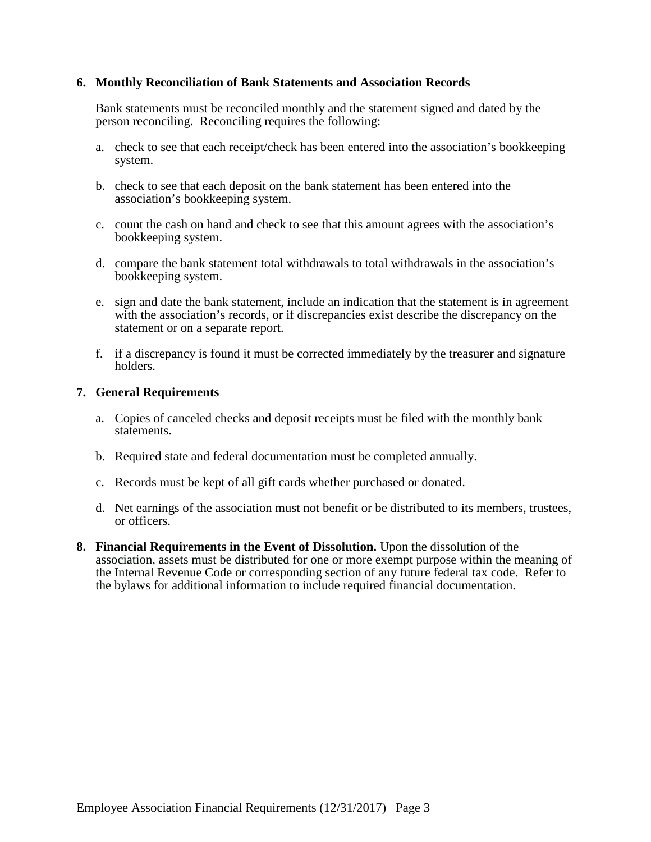#### **6. Monthly Reconciliation of Bank Statements and Association Records**

Bank statements must be reconciled monthly and the statement signed and dated by the person reconciling. Reconciling requires the following:

- a. check to see that each receipt/check has been entered into the association's bookkeeping system.
- b. check to see that each deposit on the bank statement has been entered into the association's bookkeeping system.
- c. count the cash on hand and check to see that this amount agrees with the association's bookkeeping system.
- d. compare the bank statement total withdrawals to total withdrawals in the association's bookkeeping system.
- e. sign and date the bank statement, include an indication that the statement is in agreement with the association's records, or if discrepancies exist describe the discrepancy on the statement or on a separate report.
- f. if a discrepancy is found it must be corrected immediately by the treasurer and signature holders.

#### **7. General Requirements**

- a. Copies of canceled checks and deposit receipts must be filed with the monthly bank statements.
- b. Required state and federal documentation must be completed annually.
- c. Records must be kept of all gift cards whether purchased or donated.
- d. Net earnings of the association must not benefit or be distributed to its members, trustees, or officers.
- **8. Financial Requirements in the Event of Dissolution.** Upon the dissolution of the association, assets must be distributed for one or more exempt purpose within the meaning of the Internal Revenue Code or corresponding section of any future federal tax code. Refer to the bylaws for additional information to include required financial documentation.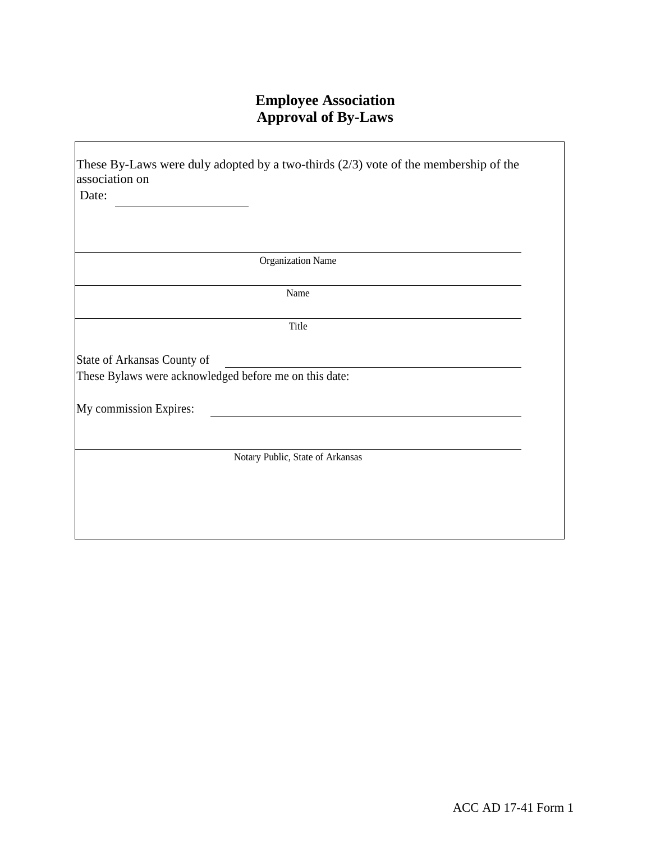# **Employee Association Approval of By-Laws**

| association on                                         |                                  |
|--------------------------------------------------------|----------------------------------|
| Date:                                                  |                                  |
|                                                        |                                  |
|                                                        |                                  |
|                                                        | <b>Organization Name</b>         |
|                                                        | Name                             |
|                                                        | Title                            |
| State of Arkansas County of                            |                                  |
| These Bylaws were acknowledged before me on this date: |                                  |
| My commission Expires:                                 |                                  |
|                                                        |                                  |
|                                                        | Notary Public, State of Arkansas |
|                                                        |                                  |
|                                                        |                                  |
|                                                        |                                  |
|                                                        |                                  |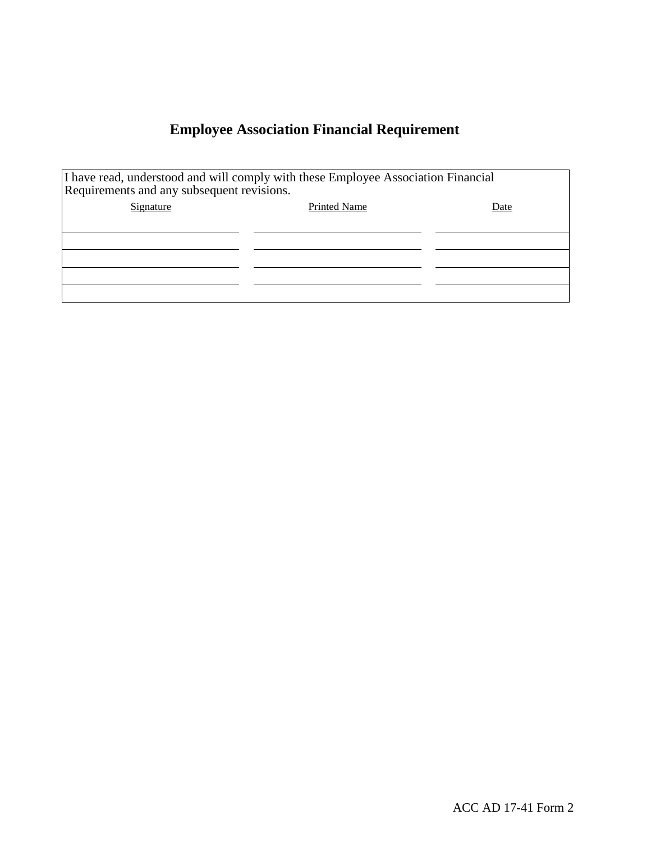# **Employee Association Financial Requirement**

| I have read, understood and will comply with these Employee Association Financial<br>Requirements and any subsequent revisions. |                     |      |  |
|---------------------------------------------------------------------------------------------------------------------------------|---------------------|------|--|
| Signature                                                                                                                       | <b>Printed Name</b> | Date |  |
|                                                                                                                                 |                     |      |  |
|                                                                                                                                 |                     |      |  |
|                                                                                                                                 |                     |      |  |
|                                                                                                                                 |                     |      |  |
|                                                                                                                                 |                     |      |  |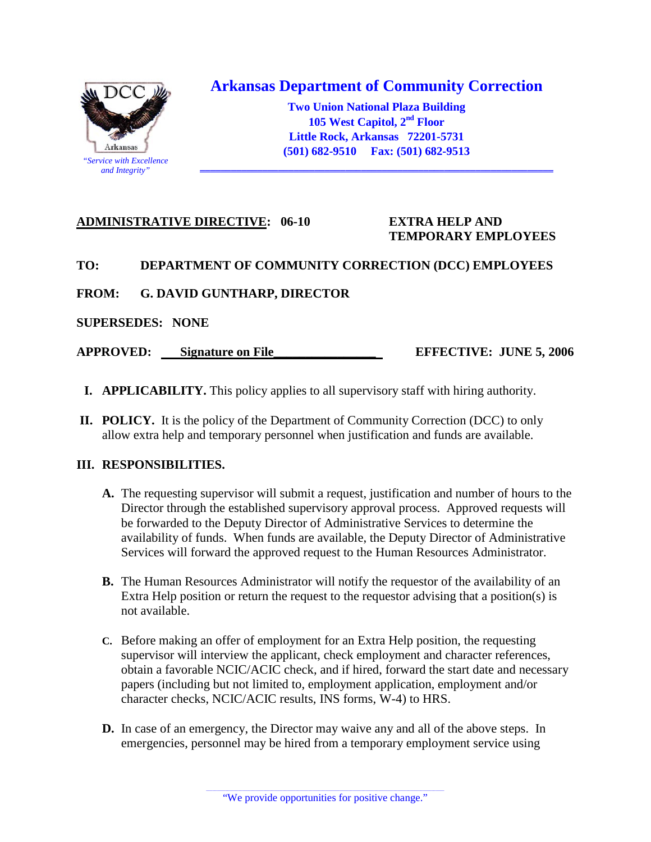

# **Arkansas Department of Community Correction**

**Two Union National Plaza Building 105 West Capitol, 2nd Floor Little Rock, Arkansas 72201-5731 (501) 682-9510 Fax: (501) 682-9513**

 $\_$  , and the contribution of the contribution of  $\mathcal{L}_1$  , and the contribution of  $\mathcal{L}_2$ 

# **ADMINISTRATIVE DIRECTIVE: 06-10 EXTRA HELP AND**

# **TEMPORARY EMPLOYEES**

### **TO: DEPARTMENT OF COMMUNITY CORRECTION (DCC) EMPLOYEES**

**FROM: G. DAVID GUNTHARP, DIRECTOR**

**SUPERSEDES: NONE**

**APPROVED: Signature on File\_\_\_\_\_\_\_\_\_\_\_\_\_\_\_\_ EFFECTIVE: JUNE 5, 2006**

- **I. APPLICABILITY.** This policy applies to all supervisory staff with hiring authority.
- **II. POLICY.** It is the policy of the Department of Community Correction (DCC) to only allow extra help and temporary personnel when justification and funds are available.

#### **III. RESPONSIBILITIES.**

- **A.** The requesting supervisor will submit a request, justification and number of hours to the Director through the established supervisory approval process. Approved requests will be forwarded to the Deputy Director of Administrative Services to determine the availability of funds. When funds are available, the Deputy Director of Administrative Services will forward the approved request to the Human Resources Administrator.
- **B.** The Human Resources Administrator will notify the requestor of the availability of an Extra Help position or return the request to the requestor advising that a position(s) is not available.
- **C.** Before making an offer of employment for an Extra Help position, the requesting supervisor will interview the applicant, check employment and character references, obtain a favorable NCIC/ACIC check, and if hired, forward the start date and necessary papers (including but not limited to, employment application, employment and/or character checks, NCIC/ACIC results, INS forms, W-4) to HRS.
- **D.** In case of an emergency, the Director may waive any and all of the above steps. In emergencies, personnel may be hired from a temporary employment service using

*\_\_\_\_\_\_\_\_\_\_\_\_\_\_\_\_\_\_\_\_\_\_\_\_\_\_\_\_\_\_\_\_\_\_\_\_\_\_\_\_\_\_\_\_\_\_\_\_\_\_\_\_\_\_\_\_\_\_\_\_\_\_\_\_\_\_\_\_\_\_\_\_\_\_\_\_\_\_\_\_\_\_\_\_\_\_\_\_\_\_\_\_\_\_\_\_\_\_\_\_\_\_\_\_\_\_\_\_\_\_\_\_* "We provide opportunities for positive change."